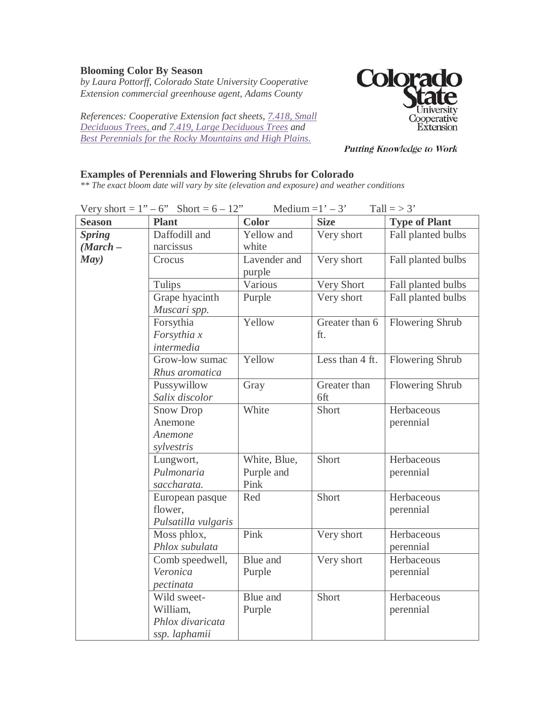## **Blooming Color By Season**

*by Laura Pottorff, Colorado State University Cooperative Extension commercial greenhouse agent, Adams County* 

*References: Cooperative Extension fact sheets, [7.418, Small](http://www.ext.colostate.edu/pubs/garden/07418.html)  [Deciduous Trees, a](http://www.ext.colostate.edu/pubs/garden/07418.html)nd [7.419, Large Deciduous Trees](http://www.ext.colostate.edu/pubs/garden/07419.html) and [Best Perennials for the Rocky Mountains and High Plains.](http://cerc.colostate.edu/titles/573A.html)*



**Putting Knowledge to Work** 

## **Examples of Perennials and Flowering Shrubs for Colorado**

*\*\* The exact bloom date will vary by site (elevation and exposure) and weather conditions* 

| Medium = $1' - 3'$<br>Tall $=$ > 3'<br>Very short = $1" - 6"$ Short = $6 - 12"$ |                     |              |                 |                      |
|---------------------------------------------------------------------------------|---------------------|--------------|-----------------|----------------------|
| <b>Season</b>                                                                   | <b>Plant</b>        | <b>Color</b> | <b>Size</b>     | <b>Type of Plant</b> |
| <b>Spring</b>                                                                   | Daffodill and       | Yellow and   | Very short      | Fall planted bulbs   |
| $(March -$                                                                      | narcissus           | white        |                 |                      |
| May)                                                                            | Crocus              | Lavender and | Very short      | Fall planted bulbs   |
|                                                                                 |                     | purple       |                 |                      |
|                                                                                 | Tulips              | Various      | Very Short      | Fall planted bulbs   |
|                                                                                 | Grape hyacinth      | Purple       | Very short      | Fall planted bulbs   |
|                                                                                 | Muscari spp.        |              |                 |                      |
|                                                                                 | Forsythia           | Yellow       | Greater than 6  | Flowering Shrub      |
|                                                                                 | Forsythia x         |              | ft.             |                      |
|                                                                                 | intermedia          |              |                 |                      |
|                                                                                 | Grow-low sumac      | Yellow       | Less than 4 ft. | Flowering Shrub      |
|                                                                                 | Rhus aromatica      |              |                 |                      |
|                                                                                 | Pussywillow         | Gray         | Greater than    | Flowering Shrub      |
|                                                                                 | Salix discolor      |              | 6ft             |                      |
|                                                                                 | Snow Drop           | White        | Short           | Herbaceous           |
|                                                                                 | Anemone             |              |                 | perennial            |
|                                                                                 | Anemone             |              |                 |                      |
|                                                                                 | sylvestris          |              |                 |                      |
|                                                                                 | Lungwort,           | White, Blue, | Short           | Herbaceous           |
|                                                                                 | Pulmonaria          | Purple and   |                 | perennial            |
|                                                                                 | saccharata.         | Pink         |                 |                      |
|                                                                                 | European pasque     | Red          | Short           | Herbaceous           |
|                                                                                 | flower,             |              |                 | perennial            |
|                                                                                 | Pulsatilla vulgaris |              |                 |                      |
|                                                                                 | Moss phlox,         | Pink         | Very short      | Herbaceous           |
|                                                                                 | Phlox subulata      |              |                 | perennial            |
|                                                                                 | Comb speedwell,     | Blue and     | Very short      | Herbaceous           |
|                                                                                 | Veronica            | Purple       |                 | perennial            |
|                                                                                 | pectinata           |              |                 |                      |
|                                                                                 | Wild sweet-         | Blue and     | Short           | Herbaceous           |
|                                                                                 | William,            | Purple       |                 | perennial            |
|                                                                                 | Phlox divaricata    |              |                 |                      |
|                                                                                 | ssp. laphamii       |              |                 |                      |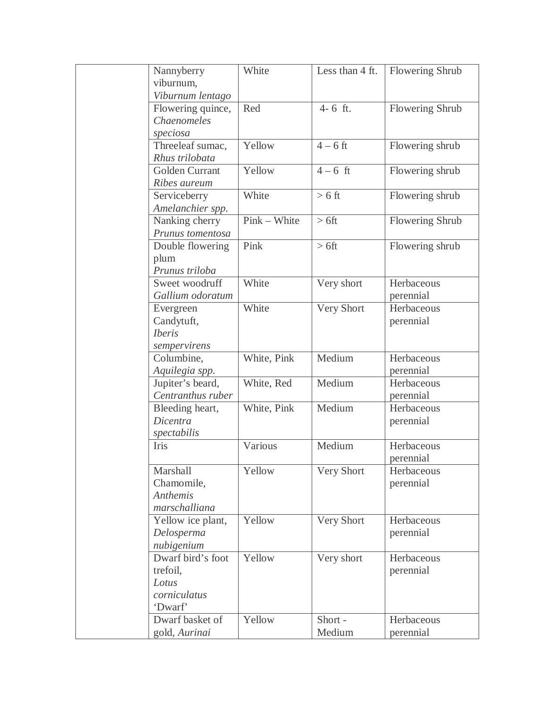| Nannyberry        | White        | Less than 4 ft. | <b>Flowering Shrub</b> |
|-------------------|--------------|-----------------|------------------------|
| viburnum,         |              |                 |                        |
| Viburnum lentago  |              |                 |                        |
| Flowering quince, | Red          | 4-6 ft.         | Flowering Shrub        |
| Chaenomeles       |              |                 |                        |
| speciosa          |              |                 |                        |
| Threeleaf sumac,  | Yellow       | $4-6$ ft        | Flowering shrub        |
| Rhus trilobata    |              |                 |                        |
| Golden Currant    | Yellow       | $4 - 6$ ft      | Flowering shrub        |
| Ribes aureum      |              |                 |                        |
| Serviceberry      | White        | $> 6$ ft        | Flowering shrub        |
| Amelanchier spp.  |              |                 |                        |
| Nanking cherry    | Pink - White | $> 6$ ft        | Flowering Shrub        |
| Prunus tomentosa  |              |                 |                        |
| Double flowering  | Pink         | $> 6$ ft        | Flowering shrub        |
| plum              |              |                 |                        |
| Prunus triloba    |              |                 |                        |
| Sweet woodruff    | White        | Very short      | Herbaceous             |
| Gallium odoratum  |              |                 | perennial              |
| Evergreen         | White        | Very Short      | Herbaceous             |
| Candytuft,        |              |                 | perennial              |
| <b>Iberis</b>     |              |                 |                        |
| sempervirens      |              |                 |                        |
| Columbine,        | White, Pink  | Medium          | Herbaceous             |
| Aquilegia spp.    |              |                 | perennial              |
| Jupiter's beard,  | White, Red   | Medium          | Herbaceous             |
| Centranthus ruber |              |                 | perennial              |
| Bleeding heart,   | White, Pink  | Medium          | Herbaceous             |
| Dicentra          |              |                 | perennial              |
| spectabilis       |              |                 |                        |
| Iris              | Various      | Medium          | Herbaceous             |
|                   |              |                 | perennial              |
| Marshall          | Yellow       | Very Short      | Herbaceous             |
| Chamomile,        |              |                 | perennial              |
| <b>Anthemis</b>   |              |                 |                        |
| marschalliana     |              |                 |                        |
| Yellow ice plant, | Yellow       | Very Short      | Herbaceous             |
| Delosperma        |              |                 | perennial              |
| nubigenium        |              |                 |                        |
| Dwarf bird's foot | Yellow       | Very short      | Herbaceous             |
| trefoil,          |              |                 | perennial              |
| Lotus             |              |                 |                        |
| corniculatus      |              |                 |                        |
| 'Dwarf'           |              |                 |                        |
| Dwarf basket of   | Yellow       | Short-          | Herbaceous             |
| gold, Aurinai     |              | Medium          | perennial              |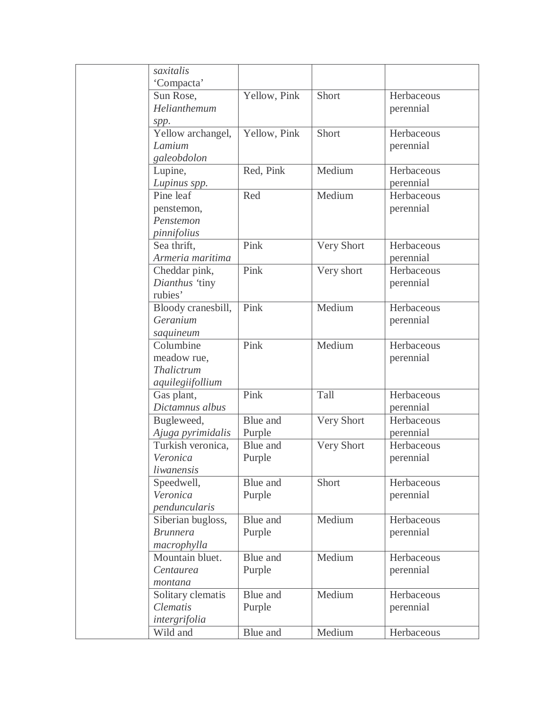| saxitalis          |              |            |            |
|--------------------|--------------|------------|------------|
| 'Compacta'         |              |            |            |
| Sun Rose,          | Yellow, Pink | Short      | Herbaceous |
| Helianthemum       |              |            | perennial  |
| spp.               |              |            |            |
| Yellow archangel,  | Yellow, Pink | Short      | Herbaceous |
| Lamium             |              |            | perennial  |
| galeobdolon        |              |            |            |
| Lupine,            | Red, Pink    | Medium     | Herbaceous |
| Lupinus spp.       |              |            | perennial  |
| Pine leaf          | Red          | Medium     | Herbaceous |
| penstemon,         |              |            | perennial  |
| Penstemon          |              |            |            |
| pinnifolius        |              |            |            |
| Sea thrift,        | Pink         | Very Short | Herbaceous |
| Armeria maritima   |              |            | perennial  |
| Cheddar pink,      | Pink         | Very short | Herbaceous |
| Dianthus 'tiny     |              |            | perennial  |
| rubies'            |              |            |            |
| Bloody cranesbill, | Pink         | Medium     | Herbaceous |
| Geranium           |              |            | perennial  |
| saquineum          |              |            |            |
| Columbine          | Pink         | Medium     | Herbaceous |
| meadow rue,        |              |            | perennial  |
| Thalictrum         |              |            |            |
| aquilegiifollium   |              |            |            |
| Gas plant,         | Pink         | Tall       | Herbaceous |
| Dictamnus albus    |              |            | perennial  |
| Bugleweed,         | Blue and     | Very Short | Herbaceous |
| Ajuga pyrimidalis  | Purple       |            | perennial  |
| Turkish veronica,  | Blue and     | Very Short | Herbaceous |
| Veronica           | Purple       |            | perennial  |
| liwanensis         |              |            |            |
| Speedwell,         | Blue and     | Short      | Herbaceous |
| Veronica           | Purple       |            | perennial  |
| penduncularis      |              |            |            |
| Siberian bugloss,  | Blue and     | Medium     | Herbaceous |
| <b>Brunnera</b>    | Purple       |            | perennial  |
| macrophylla        |              |            |            |
| Mountain bluet.    | Blue and     | Medium     | Herbaceous |
| Centaurea          | Purple       |            | perennial  |
| montana            |              |            |            |
| Solitary clematis  | Blue and     | Medium     | Herbaceous |
| <b>Clematis</b>    | Purple       |            | perennial  |
| intergrifolia      |              |            |            |
| Wild and           | Blue and     | Medium     | Herbaceous |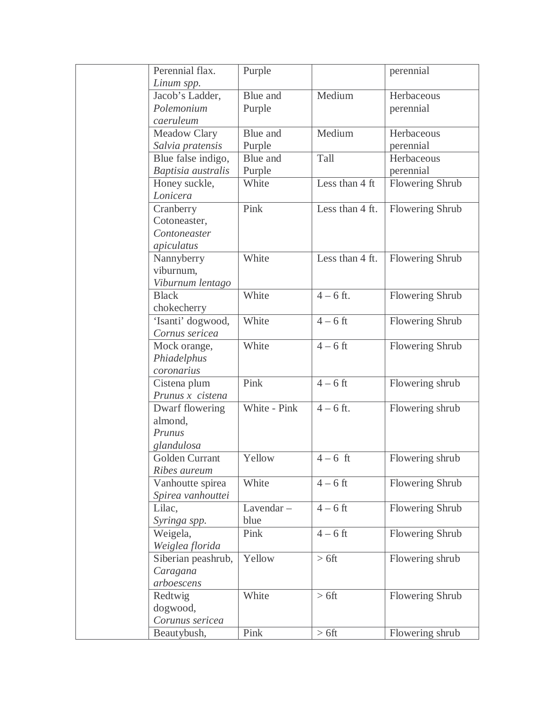| Perennial flax.    | Purple       |                             | perennial              |
|--------------------|--------------|-----------------------------|------------------------|
| Linum spp.         |              |                             |                        |
| Jacob's Ladder,    | Blue and     | Medium                      | Herbaceous             |
| Polemonium         | Purple       |                             | perennial              |
| caeruleum          |              |                             |                        |
| Meadow Clary       | Blue and     | Medium                      | Herbaceous             |
| Salvia pratensis   | Purple       |                             | perennial              |
| Blue false indigo, | Blue and     | Tall                        | Herbaceous             |
| Baptisia australis | Purple       |                             | perennial              |
| Honey suckle,      | White        | Less than 4 ft              | <b>Flowering Shrub</b> |
| Lonicera           |              |                             |                        |
| Cranberry          | Pink         | Less than 4 ft.             | Flowering Shrub        |
| Cotoneaster,       |              |                             |                        |
| Contoneaster       |              |                             |                        |
| apiculatus         |              |                             |                        |
| Nannyberry         | White        | Less than 4 ft.             | Flowering Shrub        |
| viburnum,          |              |                             |                        |
| Viburnum lentago   |              |                             |                        |
| <b>Black</b>       | White        | $4 - 6$ ft.                 | Flowering Shrub        |
| chokecherry        |              |                             |                        |
| 'Isanti' dogwood,  | White        | $\overline{4-6 \text{ ft}}$ | Flowering Shrub        |
| Cornus sericea     |              |                             |                        |
| Mock orange,       | White        | $4-6$ ft                    | Flowering Shrub        |
| Phiadelphus        |              |                             |                        |
| coronarius         |              |                             |                        |
| Cistena plum       | Pink         | $\overline{4}$ – 6 ft       | Flowering shrub        |
| Prunus x cistena   |              |                             |                        |
| Dwarf flowering    | White - Pink | $4 - 6$ ft.                 | Flowering shrub        |
| almond,            |              |                             |                        |
| Prunus             |              |                             |                        |
| glandulosa         |              |                             |                        |
| Golden Currant     | Yellow       | $4-6$ ft                    | Flowering shrub        |
| Ribes aureum       |              |                             |                        |
| Vanhoutte spirea   | White        | $4-6$ ft                    | <b>Flowering Shrub</b> |
| Spirea vanhouttei  |              |                             |                        |
| Lilac,             | Lavendar-    | $4-6$ ft                    | Flowering Shrub        |
| Syringa spp.       | blue         |                             |                        |
| Weigela,           | Pink         | $4-6$ ft                    | Flowering Shrub        |
| Weiglea florida    |              |                             |                        |
| Siberian peashrub, | Yellow       | $> 6$ ft                    | Flowering shrub        |
| Caragana           |              |                             |                        |
| arboescens         |              |                             |                        |
| Redtwig            | White        | $> 6$ ft                    | <b>Flowering Shrub</b> |
| dogwood,           |              |                             |                        |
| Corunus sericea    |              |                             |                        |
| Beautybush,        | Pink         | $> 6$ ft                    | Flowering shrub        |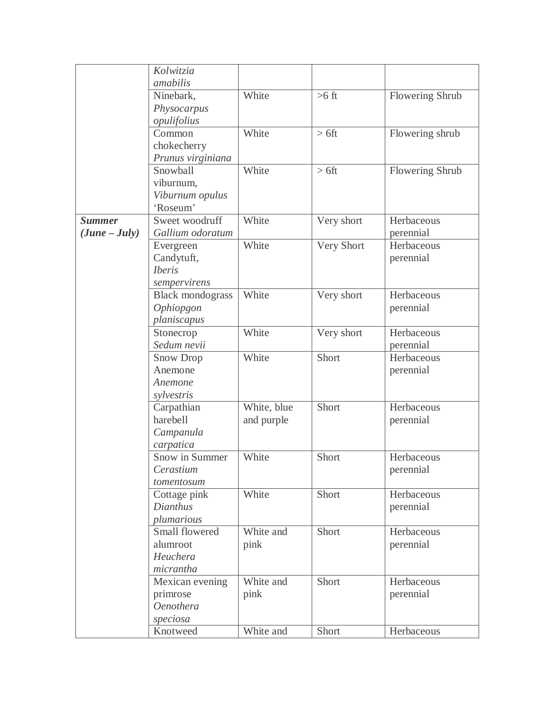|                 | Kolwitzia               |             |            |                 |
|-----------------|-------------------------|-------------|------------|-----------------|
|                 | amabilis                |             |            |                 |
|                 | Ninebark,               | White       | $>6$ ft    | Flowering Shrub |
|                 | Physocarpus             |             |            |                 |
|                 | opulifolius             |             |            |                 |
|                 | Common                  | White       | $> 6$ ft   | Flowering shrub |
|                 | chokecherry             |             |            |                 |
|                 | Prunus virginiana       |             |            |                 |
|                 | Snowball                | White       | $> 6$ ft   | Flowering Shrub |
|                 | viburnum,               |             |            |                 |
|                 | Viburnum opulus         |             |            |                 |
|                 | 'Roseum'                |             |            |                 |
| <b>Summer</b>   | Sweet woodruff          | White       | Very short | Herbaceous      |
| $(June - July)$ | Gallium odoratum        |             |            | perennial       |
|                 | Evergreen               | White       | Very Short | Herbaceous      |
|                 | Candytuft,              |             |            | perennial       |
|                 | <i>Iberis</i>           |             |            |                 |
|                 | sempervirens            |             |            |                 |
|                 | <b>Black mondograss</b> | White       | Very short | Herbaceous      |
|                 | Ophiopgon               |             |            | perennial       |
|                 | planiscapus             |             |            |                 |
|                 | Stonecrop               | White       | Very short | Herbaceous      |
|                 | Sedum nevii             |             |            | perennial       |
|                 | Snow Drop               | White       | Short      | Herbaceous      |
|                 | Anemone                 |             |            | perennial       |
|                 | Anemone                 |             |            |                 |
|                 | sylvestris              |             |            |                 |
|                 | Carpathian              | White, blue | Short      | Herbaceous      |
|                 | harebell                | and purple  |            | perennial       |
|                 | Campanula               |             |            |                 |
|                 | carpatica               |             |            |                 |
|                 | Snow in Summer          | White       | Short      | Herbaceous      |
|                 | Cerastium               |             |            | perennial       |
|                 | tomentosum              |             |            |                 |
|                 | Cottage pink            | White       | Short      | Herbaceous      |
|                 | Dianthus                |             |            | perennial       |
|                 | plumarious              |             |            |                 |
|                 | Small flowered          | White and   | Short      | Herbaceous      |
|                 | alumroot                | pink        |            | perennial       |
|                 | Heuchera                |             |            |                 |
|                 | micrantha               |             |            |                 |
|                 | Mexican evening         | White and   | Short      | Herbaceous      |
|                 | primrose                | pink        |            | perennial       |
|                 | Oenothera               |             |            |                 |
|                 | speciosa                |             |            |                 |
|                 | Knotweed                | White and   | Short      | Herbaceous      |
|                 |                         |             |            |                 |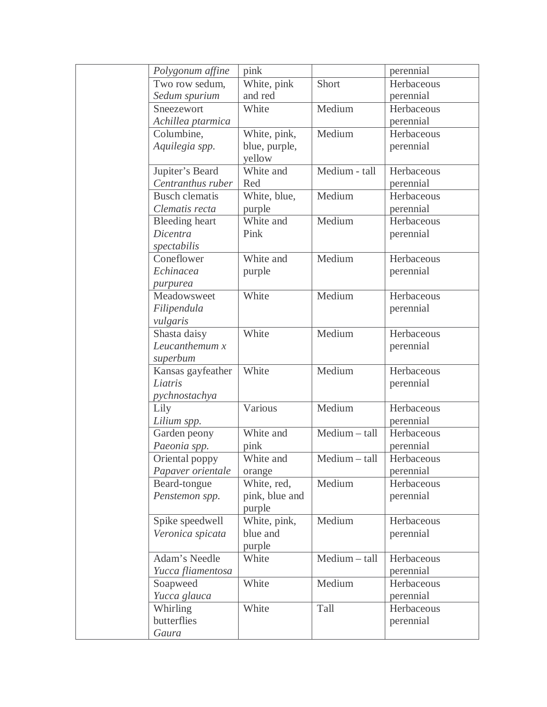| Polygonum affine      | pink           |               | perennial  |
|-----------------------|----------------|---------------|------------|
| Two row sedum,        | White, pink    | Short         | Herbaceous |
| Sedum spurium         | and red        |               | perennial  |
| Sneezewort            | White          | Medium        | Herbaceous |
| Achillea ptarmica     |                |               | perennial  |
| Columbine,            | White, pink,   | Medium        | Herbaceous |
| Aquilegia spp.        | blue, purple,  |               | perennial  |
|                       | yellow         |               |            |
| Jupiter's Beard       | White and      | Medium - tall | Herbaceous |
| Centranthus ruber     | Red            |               | perennial  |
| <b>Busch clematis</b> | White, blue,   | Medium        | Herbaceous |
| Clematis recta        | purple         |               | perennial  |
| <b>Bleeding</b> heart | White and      | Medium        | Herbaceous |
| Dicentra              | Pink           |               | perennial  |
| spectabilis           |                |               |            |
| Coneflower            | White and      | Medium        | Herbaceous |
| Echinacea             | purple         |               | perennial  |
| purpurea              |                |               |            |
| Meadowsweet           | White          | Medium        | Herbaceous |
| Filipendula           |                |               | perennial  |
| vulgaris              |                |               |            |
| Shasta daisy          | White          | Medium        | Herbaceous |
| Leucanthemum $x$      |                |               | perennial  |
| superbum              |                |               |            |
| Kansas gayfeather     | White          | Medium        | Herbaceous |
| Liatris               |                |               | perennial  |
| pychnostachya         |                |               |            |
| Lily                  | Various        | Medium        | Herbaceous |
| Lilium spp.           |                |               | perennial  |
| Garden peony          | White and      | Medium - tall | Herbaceous |
| Paeonia spp.          | pink           |               | perennial  |
| Oriental poppy        | White and      | Medium - tall | Herbaceous |
| Papaver orientale     | orange         |               | perennial  |
| Beard-tongue          | White, red,    | Medium        | Herbaceous |
| Penstemon spp.        | pink, blue and |               | perennial  |
|                       | purple         |               |            |
| Spike speedwell       | White, pink,   | Medium        | Herbaceous |
| Veronica spicata      | blue and       |               | perennial  |
|                       | purple         |               |            |
| Adam's Needle         | White          | Medium - tall | Herbaceous |
| Yucca fliamentosa     |                |               | perennial  |
| Soapweed              | White          | Medium        | Herbaceous |
| Yucca glauca          |                |               | perennial  |
| Whirling              | White          | Tall          | Herbaceous |
| butterflies           |                |               | perennial  |
| Gaura                 |                |               |            |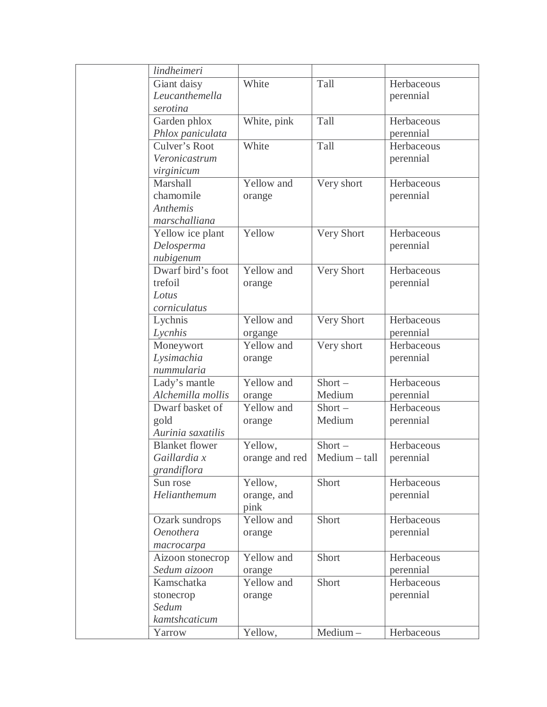| lindheimeri           |                |               |            |
|-----------------------|----------------|---------------|------------|
| Giant daisy           | White          | Tall          | Herbaceous |
| Leucanthemella        |                |               | perennial  |
| serotina              |                |               |            |
| Garden phlox          | White, pink    | Tall          | Herbaceous |
| Phlox paniculata      |                |               | perennial  |
| Culver's Root         | White          | Tall          | Herbaceous |
| Veronicastrum         |                |               | perennial  |
| virginicum            |                |               |            |
| Marshall              | Yellow and     | Very short    | Herbaceous |
| chamomile             | orange         |               | perennial  |
| <b>Anthemis</b>       |                |               |            |
| marschalliana         |                |               |            |
| Yellow ice plant      | Yellow         | Very Short    | Herbaceous |
| Delosperma            |                |               | perennial  |
| nubigenum             |                |               |            |
| Dwarf bird's foot     | Yellow and     | Very Short    | Herbaceous |
| trefoil               | orange         |               | perennial  |
| Lotus                 |                |               |            |
| corniculatus          |                |               |            |
| Lychnis               | Yellow and     | Very Short    | Herbaceous |
| Lycnhis               | organge        |               | perennial  |
| Moneywort             | Yellow and     | Very short    | Herbaceous |
| Lysimachia            | orange         |               | perennial  |
| nummularia            |                |               |            |
| Lady's mantle         | Yellow and     | $Short -$     | Herbaceous |
| Alchemilla mollis     | orange         | Medium        | perennial  |
| Dwarf basket of       | Yellow and     | $Short -$     | Herbaceous |
| gold                  | orange         | Medium        | perennial  |
| Aurinia saxatilis     |                |               |            |
| <b>Blanket</b> flower | Yellow,        | $Short -$     | Herbaceous |
| Gaillardia x          | orange and red | Medium - tall | perennial  |
| grandiflora           |                |               |            |
| Sun rose              | Yellow,        | Short         | Herbaceous |
| Helianthemum          | orange, and    |               | perennial  |
|                       | pink           |               |            |
| Ozark sundrops        | Yellow and     | Short         | Herbaceous |
| <b>Oenothera</b>      | orange         |               | perennial  |
| macrocarpa            |                |               |            |
| Aizoon stonecrop      | Yellow and     | Short         | Herbaceous |
| Sedum aizoon          | orange         |               | perennial  |
| Kamschatka            | Yellow and     | Short         | Herbaceous |
| stonecrop             | orange         |               | perennial  |
| Sedum                 |                |               |            |
| kamtshcaticum         |                |               |            |
| Yarrow                | Yellow,        | Medium-       | Herbaceous |
|                       |                |               |            |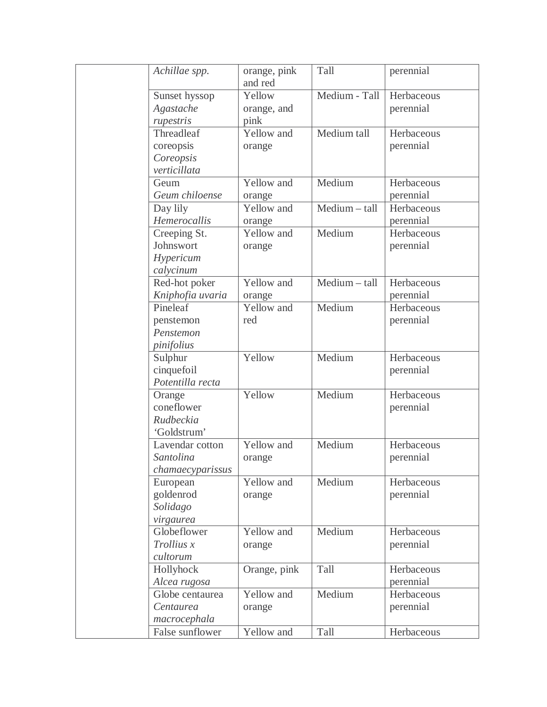| Achillae spp.           | orange, pink<br>and red | Tall          | perennial  |
|-------------------------|-------------------------|---------------|------------|
| Sunset hyssop           | Yellow                  | Medium - Tall | Herbaceous |
| Agastache               | orange, and             |               | perennial  |
|                         | pink                    |               |            |
| rupestris<br>Threadleaf | Yellow and              | Medium tall   | Herbaceous |
|                         |                         |               |            |
| coreopsis               | orange                  |               | perennial  |
| Coreopsis               |                         |               |            |
| verticillata            |                         |               |            |
| Geum                    | Yellow and              | Medium        | Herbaceous |
| Geum chiloense          | orange                  |               | perennial  |
| Day lily                | Yellow and              | Medium - tall | Herbaceous |
| Hemerocallis            | orange                  |               | perennial  |
| Creeping St.            | Yellow and              | Medium        | Herbaceous |
| Johnswort               | orange                  |               | perennial  |
| Hypericum               |                         |               |            |
| calycinum               |                         |               |            |
| Red-hot poker           | Yellow and              | Medium - tall | Herbaceous |
| Kniphofia uvaria        | orange                  |               | perennial  |
| Pineleaf                | Yellow and              | Medium        | Herbaceous |
| penstemon               | red                     |               | perennial  |
| Penstemon               |                         |               |            |
| pinifolius              |                         |               |            |
| Sulphur                 | Yellow                  | Medium        | Herbaceous |
| cinquefoil              |                         |               | perennial  |
| Potentilla recta        |                         |               |            |
| Orange                  | Yellow                  | Medium        | Herbaceous |
| coneflower              |                         |               | perennial  |
| Rudbeckia               |                         |               |            |
| 'Goldstrum'             |                         |               |            |
| Lavendar cotton         | Yellow and              | Medium        | Herbaceous |
| Santolina               | orange                  |               | perennial  |
| chamaecyparissus        |                         |               |            |
| European                | Yellow and              | Medium        | Herbaceous |
| goldenrod               | orange                  |               | perennial  |
| Solidago                |                         |               |            |
| virgaurea               |                         |               |            |
| Globeflower             | Yellow and              | Medium        | Herbaceous |
| Trollius x              | orange                  |               | perennial  |
| cultorum                |                         |               |            |
| Hollyhock               | Orange, pink            | Tall          | Herbaceous |
| Alcea rugosa            |                         |               | perennial  |
| Globe centaurea         | Yellow and              | Medium        | Herbaceous |
| Centaurea               |                         |               |            |
|                         | orange                  |               | perennial  |
| macrocephala            |                         |               |            |
| False sunflower         | Yellow and              | Tall          | Herbaceous |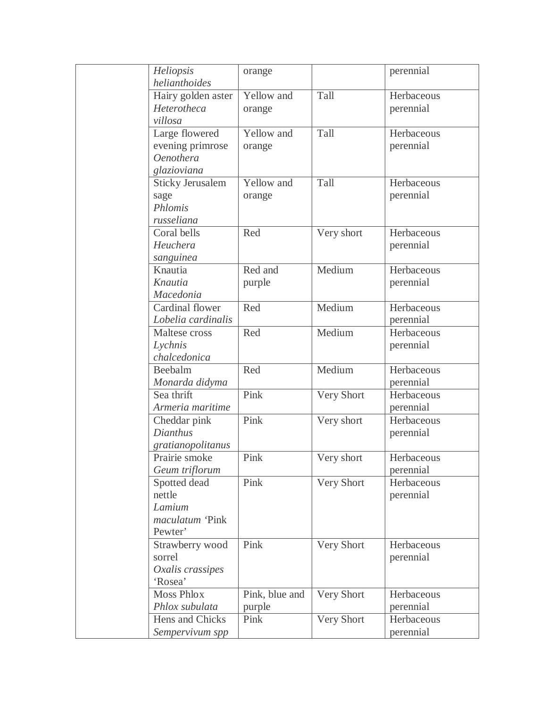| Heliopsis               | orange         |            | perennial  |
|-------------------------|----------------|------------|------------|
| helianthoides           |                |            |            |
| Hairy golden aster      | Yellow and     | Tall       | Herbaceous |
| Heterotheca             | orange         |            | perennial  |
| villosa                 |                |            |            |
| Large flowered          | Yellow and     | Tall       | Herbaceous |
| evening primrose        | orange         |            | perennial  |
| <b>Oenothera</b>        |                |            |            |
| glazioviana             |                |            |            |
| <b>Sticky Jerusalem</b> | Yellow and     | Tall       | Herbaceous |
| sage                    | orange         |            | perennial  |
| Phlomis                 |                |            |            |
| russeliana              |                |            |            |
| Coral bells             | Red            | Very short | Herbaceous |
| Heuchera                |                |            | perennial  |
| sanguinea               |                |            |            |
| Knautia                 | Red and        | Medium     | Herbaceous |
| Knautia                 | purple         |            | perennial  |
| Macedonia               |                |            |            |
| Cardinal flower         | Red            | Medium     | Herbaceous |
| Lobelia cardinalis      |                |            | perennial  |
| Maltese cross           | Red            | Medium     | Herbaceous |
| Lychnis                 |                |            | perennial  |
| chalcedonica            |                |            |            |
| Beebalm                 | Red            | Medium     | Herbaceous |
| Monarda didyma          |                |            | perennial  |
| Sea thrift              | Pink           | Very Short | Herbaceous |
| Armeria maritime        |                |            | perennial  |
| Cheddar pink            | Pink           | Very short | Herbaceous |
| Dianthus                |                |            | perennial  |
| gratianopolitanus       |                |            |            |
| Prairie smoke           | Pink           | Very short | Herbaceous |
| Geum triflorum          |                |            | perennial  |
| Spotted dead            | Pink           | Very Short | Herbaceous |
| nettle                  |                |            | perennial  |
| Lamium                  |                |            |            |
| maculatum 'Pink         |                |            |            |
| Pewter'                 |                |            |            |
| Strawberry wood         | Pink           | Very Short | Herbaceous |
| sorrel                  |                |            | perennial  |
| Oxalis crassipes        |                |            |            |
| 'Rosea'                 |                |            |            |
| <b>Moss Phlox</b>       | Pink, blue and | Very Short | Herbaceous |
| Phlox subulata          | purple         |            | perennial  |
| Hens and Chicks         | Pink           | Very Short | Herbaceous |
| Sempervivum spp         |                |            | perennial  |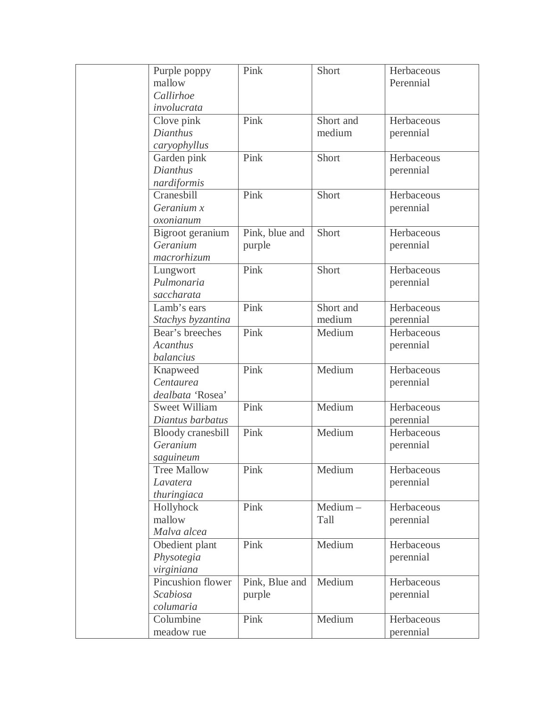| Purple poppy         | Pink           | Short     | Herbaceous |
|----------------------|----------------|-----------|------------|
| mallow               |                |           | Perennial  |
| Callirhoe            |                |           |            |
| involucrata          |                |           |            |
| Clove pink           | Pink           | Short and | Herbaceous |
| Dianthus             |                | medium    | perennial  |
| caryophyllus         |                |           |            |
| Garden pink          | Pink           | Short     | Herbaceous |
| Dianthus             |                |           | perennial  |
| nardiformis          |                |           |            |
| Cranesbill           | Pink           | Short     | Herbaceous |
| Geranium x           |                |           | perennial  |
| oxonianum            |                |           |            |
| Bigroot geranium     | Pink, blue and | Short     | Herbaceous |
| Geranium             | purple         |           | perennial  |
| macrorhizum          |                |           |            |
| Lungwort             | Pink           | Short     | Herbaceous |
| Pulmonaria           |                |           | perennial  |
| saccharata           |                |           |            |
| Lamb's ears          | Pink           | Short and | Herbaceous |
| Stachys byzantina    |                | medium    | perennial  |
| Bear's breeches      | Pink           | Medium    | Herbaceous |
| <b>Acanthus</b>      |                |           | perennial  |
| balancius            |                |           |            |
| Knapweed             | Pink           | Medium    | Herbaceous |
| Centaurea            |                |           | perennial  |
| dealbata 'Rosea'     |                |           |            |
| <b>Sweet William</b> | Pink           | Medium    | Herbaceous |
| Diantus barbatus     |                |           | perennial  |
| Bloody cranesbill    | Pink           | Medium    | Herbaceous |
| Geranium             |                |           | perennial  |
| saguineum            |                |           |            |
| <b>Tree Mallow</b>   | Pink           | Medium    | Herbaceous |
| Lavatera             |                |           | perennial  |
| thuringiaca          |                |           |            |
| Hollyhock            | Pink           | Medium-   | Herbaceous |
| mallow               |                | Tall      | perennial  |
| Malva alcea          |                |           |            |
| Obedient plant       | Pink           | Medium    | Herbaceous |
| Physotegia           |                |           | perennial  |
| virginiana           |                |           |            |
| Pincushion flower    | Pink, Blue and | Medium    | Herbaceous |
| Scabiosa             | purple         |           | perennial  |
| columaria            |                |           |            |
| Columbine            | Pink           | Medium    | Herbaceous |
| meadow rue           |                |           | perennial  |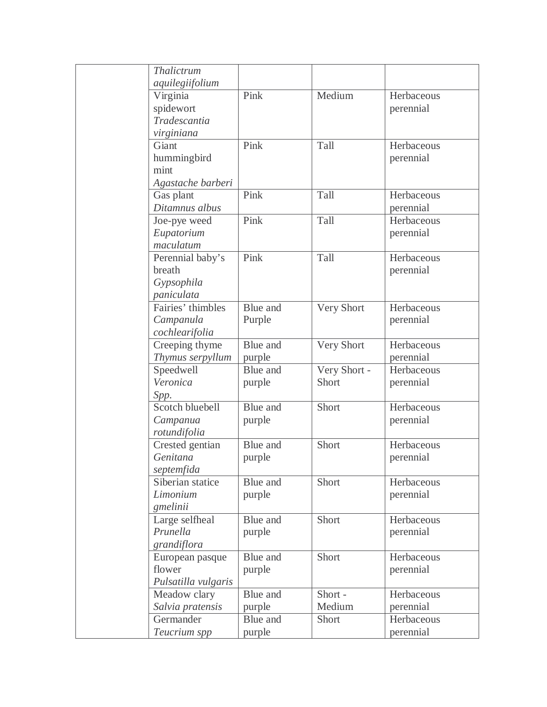| Thalictrum          |          |              |            |
|---------------------|----------|--------------|------------|
| aquilegiifolium     |          |              |            |
| Virginia            | Pink     | Medium       | Herbaceous |
| spidewort           |          |              | perennial  |
| Tradescantia        |          |              |            |
| virginiana          |          |              |            |
| Giant               | Pink     | Tall         | Herbaceous |
| hummingbird         |          |              | perennial  |
| mint                |          |              |            |
| Agastache barberi   |          |              |            |
| Gas plant           | Pink     | Tall         | Herbaceous |
| Ditamnus albus      |          |              | perennial  |
| Joe-pye weed        | Pink     | Tall         | Herbaceous |
| Eupatorium          |          |              | perennial  |
| maculatum           |          |              |            |
| Perennial baby's    | Pink     | Tall         | Herbaceous |
| breath              |          |              | perennial  |
| Gypsophila          |          |              |            |
| paniculata          |          |              |            |
| Fairies' thimbles   | Blue and | Very Short   | Herbaceous |
| Campanula           | Purple   |              | perennial  |
| cochlearifolia      |          |              |            |
| Creeping thyme      | Blue and | Very Short   | Herbaceous |
| Thymus serpyllum    | purple   |              | perennial  |
| Speedwell           | Blue and | Very Short - | Herbaceous |
| Veronica            | purple   | Short        | perennial  |
| Spp.                |          |              |            |
| Scotch bluebell     | Blue and | Short        | Herbaceous |
| Campanua            | purple   |              | perennial  |
| rotundifolia        |          |              |            |
| Crested gentian     | Blue and | Short        | Herbaceous |
| Genitana            | purple   |              | perennial  |
| septemfida          |          |              |            |
| Siberian statice    | Blue and | Short        | Herbaceous |
| Limonium            | purple   |              | perennial  |
| gmelinii            |          |              |            |
| Large selfheal      | Blue and | Short        | Herbaceous |
| Prunella            | purple   |              | perennial  |
| grandiflora         |          |              |            |
| European pasque     | Blue and | Short        | Herbaceous |
| flower              | purple   |              | perennial  |
| Pulsatilla vulgaris |          |              |            |
| Meadow clary        | Blue and | Short-       | Herbaceous |
| Salvia pratensis    | purple   | Medium       | perennial  |
| Germander           | Blue and | Short        | Herbaceous |
| Teucrium spp        | purple   |              | perennial  |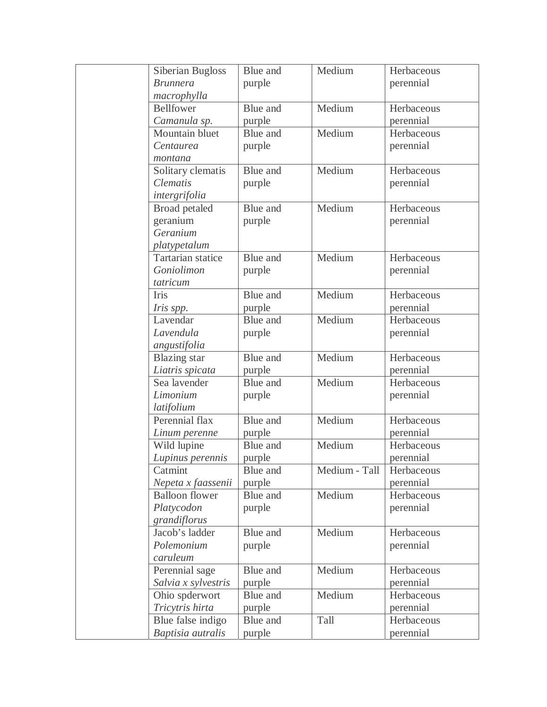| Siberian Bugloss      | Blue and        | Medium        | Herbaceous |
|-----------------------|-----------------|---------------|------------|
| <b>Brunnera</b>       | purple          |               | perennial  |
| macrophylla           |                 |               |            |
| <b>Bellfower</b>      | Blue and        | Medium        | Herbaceous |
| Camanula sp.          | purple          |               | perennial  |
| Mountain bluet        | Blue and        | Medium        | Herbaceous |
| Centaurea             | purple          |               | perennial  |
| montana               |                 |               |            |
| Solitary clematis     | Blue and        | Medium        | Herbaceous |
| <b>Clematis</b>       | purple          |               | perennial  |
| intergrifolia         |                 |               |            |
| Broad petaled         | Blue and        | Medium        | Herbaceous |
| geranium              | purple          |               | perennial  |
| Geranium              |                 |               |            |
| platypetalum          |                 |               |            |
| Tartarian statice     | Blue and        | Medium        | Herbaceous |
| Goniolimon            | purple          |               | perennial  |
| tatricum              |                 |               |            |
| Iris                  | Blue and        | Medium        | Herbaceous |
| Iris spp.             | purple          |               | perennial  |
| Lavendar              | Blue and        | Medium        | Herbaceous |
| Lavendula             | purple          |               | perennial  |
| angustifolia          |                 |               |            |
| <b>Blazing</b> star   | Blue and        | Medium        | Herbaceous |
| Liatris spicata       | purple          |               | perennial  |
| Sea lavender          | <b>Blue</b> and | Medium        | Herbaceous |
| Limonium              | purple          |               | perennial  |
| latifolium            |                 |               |            |
| Perennial flax        | Blue and        | Medium        | Herbaceous |
| Linum perenne         | purple          |               | perennial  |
| Wild lupine           | Blue and        | Medium        | Herbaceous |
| Lupinus perennis      | purple          |               | perennial  |
| Catmint               | Blue and        | Medium - Tall | Herbaceous |
| Nepeta x faassenii    | purple          |               | perennial  |
| <b>Balloon</b> flower | Blue and        | Medium        | Herbaceous |
| Platycodon            | purple          |               | perennial  |
| grandiflorus          |                 |               |            |
| Jacob's ladder        | Blue and        | Medium        | Herbaceous |
| Polemonium            | purple          |               | perennial  |
| caruleum              |                 |               |            |
| Perennial sage        | Blue and        | Medium        | Herbaceous |
| Salvia x sylvestris   | purple          |               | perennial  |
| Ohio spderwort        | Blue and        | Medium        | Herbaceous |
| Tricytris hirta       | purple          |               | perennial  |
| Blue false indigo     | Blue and        | Tall          | Herbaceous |
| Baptisia autralis     | purple          |               | perennial  |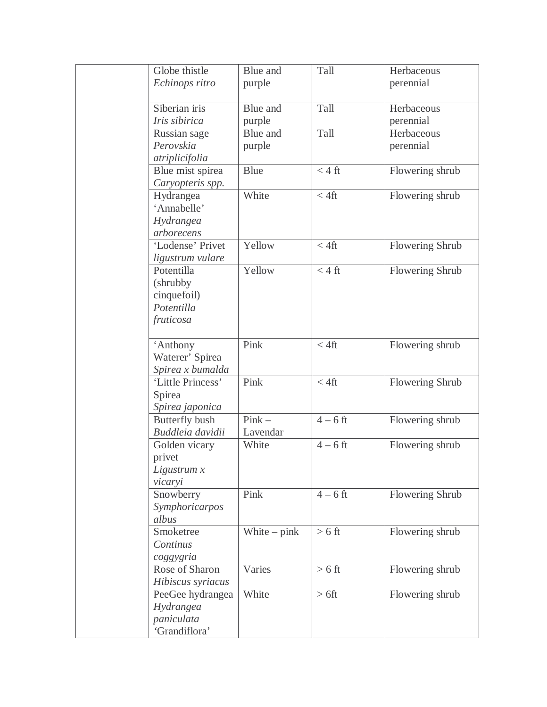| Globe thistle     | Blue and       | Tall             | Herbaceous      |
|-------------------|----------------|------------------|-----------------|
| Echinops ritro    | purple         |                  | perennial       |
|                   |                |                  |                 |
| Siberian iris     | Blue and       | Tall             | Herbaceous      |
| Iris sibirica     | purple         |                  | perennial       |
| Russian sage      | Blue and       | Tall             | Herbaceous      |
| Perovskia         | purple         |                  | perennial       |
| atriplicifolia    |                |                  |                 |
| Blue mist spirea  | <b>Blue</b>    | $< 4 \text{ ft}$ | Flowering shrub |
| Caryopteris spp.  |                |                  |                 |
| Hydrangea         | White          | $< 4$ ft         | Flowering shrub |
| 'Annabelle'       |                |                  |                 |
| Hydrangea         |                |                  |                 |
| arborecens        |                |                  |                 |
| 'Lodense' Privet  | Yellow         | $< 4$ ft         | Flowering Shrub |
| ligustrum vulare  |                |                  |                 |
| Potentilla        | Yellow         | $< 4 \text{ ft}$ | Flowering Shrub |
| (shrubby)         |                |                  |                 |
| cinquefoil)       |                |                  |                 |
| Potentilla        |                |                  |                 |
| fruticosa         |                |                  |                 |
|                   |                |                  |                 |
| 'Anthony          | Pink           | $< 4$ ft         | Flowering shrub |
| Waterer' Spirea   |                |                  |                 |
| Spirea x bumalda  |                |                  |                 |
| 'Little Princess' | Pink           | $< 4$ ft         | Flowering Shrub |
| Spirea            |                |                  |                 |
| Spirea japonica   |                |                  |                 |
| Butterfly bush    | $Pink -$       | $4-6$ ft         | Flowering shrub |
| Buddleia davidii  | Lavendar       |                  |                 |
| Golden vicary     | White          | $4-6$ ft         | Flowering shrub |
| privet            |                |                  |                 |
| Ligustrum x       |                |                  |                 |
| vicaryi           |                |                  |                 |
| Snowberry         | Pink           | $4-6$ ft         | Flowering Shrub |
| Symphoricarpos    |                |                  |                 |
| albus             |                |                  |                 |
| Smoketree         | White $-$ pink | $> 6$ ft         | Flowering shrub |
| Continus          |                |                  |                 |
| coggygria         |                |                  |                 |
| Rose of Sharon    | Varies         | $> 6 \text{ ft}$ | Flowering shrub |
| Hibiscus syriacus |                |                  |                 |
| PeeGee hydrangea  | White          | $> 6$ ft         | Flowering shrub |
| Hydrangea         |                |                  |                 |
| paniculata        |                |                  |                 |
| 'Grandiflora'     |                |                  |                 |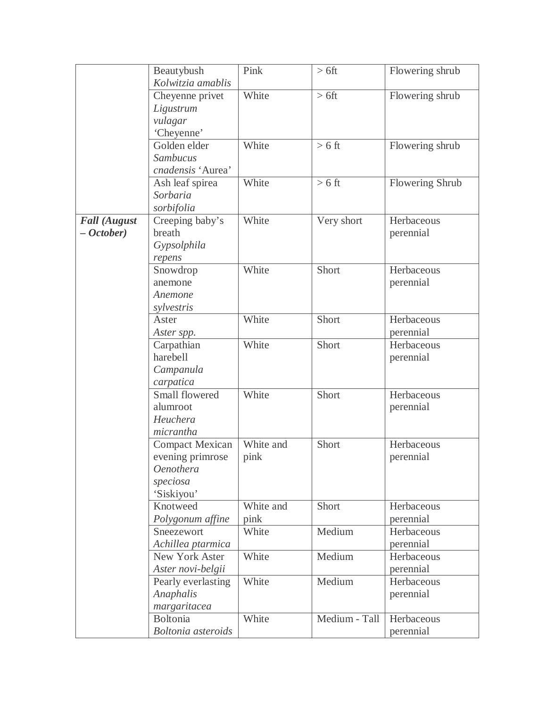|                     | Beautybush                | Pink      | $> 6$ ft      | Flowering shrub |
|---------------------|---------------------------|-----------|---------------|-----------------|
|                     | Kolwitzia amablis         |           |               |                 |
|                     | Cheyenne privet           | White     | $> 6$ ft      | Flowering shrub |
|                     | Ligustrum                 |           |               |                 |
|                     | vulagar                   |           |               |                 |
|                     | 'Cheyenne'                |           |               |                 |
|                     | Golden elder              | White     | $> 6$ ft      | Flowering shrub |
|                     | Sambucus                  |           |               |                 |
|                     | cnadensis 'Aurea'         |           |               |                 |
|                     | Ash leaf spirea           | White     | $> 6$ ft      | Flowering Shrub |
|                     | Sorbaria                  |           |               |                 |
|                     | sorbifolia                |           |               |                 |
| <b>Fall (August</b> | Creeping baby's           | White     | Very short    | Herbaceous      |
| $- October)$        | breath                    |           |               | perennial       |
|                     | Gypsolphila               |           |               |                 |
|                     | repens                    |           |               |                 |
|                     | Snowdrop                  | White     | Short         | Herbaceous      |
|                     | anemone                   |           |               | perennial       |
|                     | Anemone                   |           |               |                 |
|                     | sylvestris                |           |               |                 |
|                     | Aster                     | White     | Short         | Herbaceous      |
|                     | Aster spp.                |           |               | perennial       |
|                     | Carpathian                | White     | Short         | Herbaceous      |
|                     | harebell                  |           |               | perennial       |
|                     | Campanula                 |           |               |                 |
|                     | carpatica                 |           |               |                 |
|                     | Small flowered            | White     | Short         | Herbaceous      |
|                     | alumroot                  |           |               | perennial       |
|                     | Heuchera                  |           |               |                 |
|                     | micrantha                 |           |               |                 |
|                     | Compact Mexican           | White and | Short         | Herbaceous      |
|                     | evening primrose          | pink      |               | perennial       |
|                     | Oenothera                 |           |               |                 |
|                     | speciosa                  |           |               |                 |
|                     | 'Siskiyou'                |           |               |                 |
|                     | Knotweed                  | White and | Short         | Herbaceous      |
|                     | Polygonum affine          | pink      |               | perennial       |
|                     | Sneezewort                | White     | Medium        | Herbaceous      |
|                     | Achillea ptarmica         |           |               | perennial       |
|                     | New York Aster            | White     | Medium        | Herbaceous      |
|                     | Aster novi-belgii         |           |               | perennial       |
|                     | Pearly everlasting        | White     | Medium        | Herbaceous      |
|                     | Anaphalis                 |           |               | perennial       |
|                     | margaritacea              |           |               |                 |
|                     | <b>Boltonia</b>           | White     | Medium - Tall | Herbaceous      |
|                     | <b>Boltonia</b> asteroids |           |               | perennial       |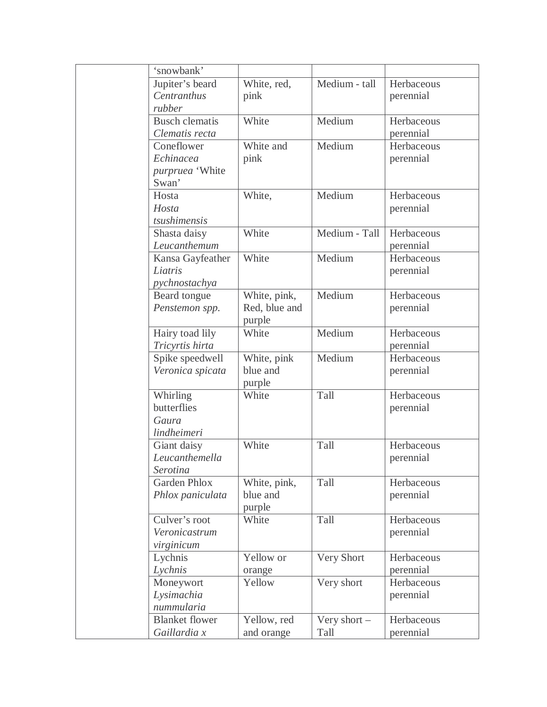| 'snowbank'            |               |                |            |
|-----------------------|---------------|----------------|------------|
| Jupiter's beard       | White, red,   | Medium - tall  | Herbaceous |
| Centranthus           | pink          |                | perennial  |
| rubber                |               |                |            |
| <b>Busch</b> clematis | White         | Medium         | Herbaceous |
| Clematis recta        |               |                | perennial  |
| Coneflower            | White and     | Medium         | Herbaceous |
| Echinacea             | pink          |                | perennial  |
| purpruea 'White       |               |                |            |
| Swan'                 |               |                |            |
| Hosta                 | White,        | Medium         | Herbaceous |
| Hosta                 |               |                | perennial  |
| tsushimensis          |               |                |            |
| Shasta daisy          | White         | Medium - Tall  | Herbaceous |
| Leucanthemum          |               |                | perennial  |
| Kansa Gayfeather      | White         | Medium         | Herbaceous |
| Liatris               |               |                |            |
|                       |               |                | perennial  |
| pychnostachya         |               | Medium         | Herbaceous |
| Beard tongue          | White, pink,  |                |            |
| Penstemon spp.        | Red, blue and |                | perennial  |
|                       | purple        |                |            |
| Hairy toad lily       | White         | Medium         | Herbaceous |
| Tricyrtis hirta       |               |                | perennial  |
| Spike speedwell       | White, pink   | Medium         | Herbaceous |
| Veronica spicata      | blue and      |                | perennial  |
|                       | purple        |                |            |
| Whirling              | White         | Tall           | Herbaceous |
| butterflies           |               |                | perennial  |
| Gaura                 |               |                |            |
| lindheimeri           |               |                |            |
| Giant daisy           | White         | Tall           | Herbaceous |
| Leucanthemella        |               |                | perennial  |
| Serotina              |               |                |            |
| <b>Garden Phlox</b>   | White, pink,  | Tall           | Herbaceous |
| Phlox paniculata      | blue and      |                | perennial  |
|                       | purple        |                |            |
| Culver's root         | White         | Tall           | Herbaceous |
| Veronicastrum         |               |                | perennial  |
| virginicum            |               |                |            |
| Lychnis               | Yellow or     | Very Short     | Herbaceous |
| Lychnis               | orange        |                | perennial  |
| Moneywort             | Yellow        | Very short     | Herbaceous |
| Lysimachia            |               |                | perennial  |
| nummularia            |               |                |            |
| <b>Blanket</b> flower | Yellow, red   | Very short $-$ | Herbaceous |
| Gaillardia x          | and orange    | Tall           | perennial  |
|                       |               |                |            |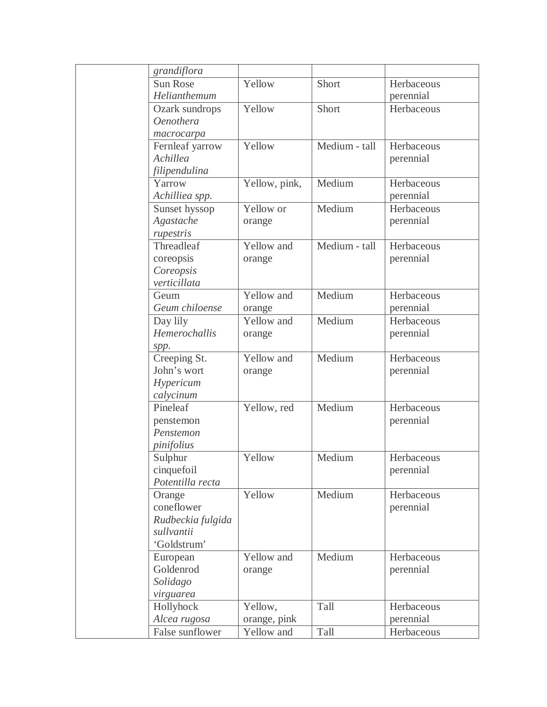| grandiflora       |               |               |            |
|-------------------|---------------|---------------|------------|
| <b>Sun Rose</b>   | Yellow        | Short         | Herbaceous |
| Helianthemum      |               |               | perennial  |
| Ozark sundrops    | Yellow        | Short         | Herbaceous |
| <b>Oenothera</b>  |               |               |            |
| macrocarpa        |               |               |            |
| Fernleaf yarrow   | Yellow        | Medium - tall | Herbaceous |
| Achillea          |               |               | perennial  |
| filipendulina     |               |               |            |
| Yarrow            | Yellow, pink, | Medium        | Herbaceous |
| Achilliea spp.    |               |               | perennial  |
| Sunset hyssop     | Yellow or     | Medium        | Herbaceous |
| Agastache         | orange        |               | perennial  |
| rupestris         |               |               |            |
| Threadleaf        | Yellow and    | Medium - tall | Herbaceous |
| coreopsis         | orange        |               | perennial  |
| Coreopsis         |               |               |            |
| verticillata      |               |               |            |
| Geum              | Yellow and    | Medium        | Herbaceous |
| Geum chiloense    | orange        |               | perennial  |
| Day lily          | Yellow and    | Medium        | Herbaceous |
| Hemerochallis     | orange        |               | perennial  |
| spp.              |               |               |            |
| Creeping St.      | Yellow and    | Medium        | Herbaceous |
| John's wort       | orange        |               | perennial  |
| Hypericum         |               |               |            |
| calycinum         |               |               |            |
| Pineleaf          | Yellow, red   | Medium        | Herbaceous |
| penstemon         |               |               | perennial  |
| Penstemon         |               |               |            |
| pinifolius        |               |               |            |
| Sulphur           | Yellow        | Medium        | Herbaceous |
| cinquefoil        |               |               | perennial  |
| Potentilla recta  |               |               |            |
| Orange            | Yellow        | Medium        | Herbaceous |
| coneflower        |               |               | perennial  |
| Rudbeckia fulgida |               |               |            |
| sullvantii        |               |               |            |
| 'Goldstrum'       |               |               |            |
| European          | Yellow and    | Medium        | Herbaceous |
| Goldenrod         |               |               |            |
|                   | orange        |               | perennial  |
| Solidago          |               |               |            |
| virguarea         |               | Tall          |            |
| Hollyhock         | Yellow,       |               | Herbaceous |
| Alcea rugosa      | orange, pink  |               | perennial  |
| False sunflower   | Yellow and    | Tall          | Herbaceous |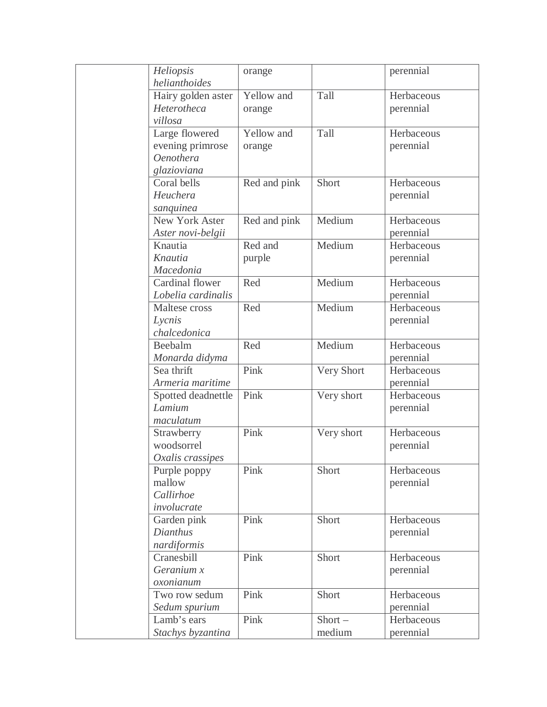| Heliopsis          | orange       |            | perennial  |
|--------------------|--------------|------------|------------|
| helianthoides      |              |            |            |
| Hairy golden aster | Yellow and   | Tall       | Herbaceous |
| Heterotheca        | orange       |            | perennial  |
| villosa            |              |            |            |
| Large flowered     | Yellow and   | Tall       | Herbaceous |
| evening primrose   | orange       |            | perennial  |
| <b>Oenothera</b>   |              |            |            |
| glazioviana        |              |            |            |
| Coral bells        | Red and pink | Short      | Herbaceous |
| Heuchera           |              |            | perennial  |
| sanquinea          |              |            |            |
| New York Aster     | Red and pink | Medium     | Herbaceous |
| Aster novi-belgii  |              |            | perennial  |
| Knautia            | Red and      | Medium     | Herbaceous |
| Knautia            | purple       |            | perennial  |
| Macedonia          |              |            |            |
| Cardinal flower    | Red          | Medium     | Herbaceous |
| Lobelia cardinalis |              |            | perennial  |
| Maltese cross      | Red          | Medium     | Herbaceous |
| Lycnis             |              |            | perennial  |
| chalcedonica       |              |            |            |
| Beebalm            | Red          | Medium     | Herbaceous |
| Monarda didyma     |              |            | perennial  |
| Sea thrift         | Pink         | Very Short | Herbaceous |
| Armeria maritime   |              |            | perennial  |
| Spotted deadnettle | Pink         | Very short | Herbaceous |
| Lamium             |              |            | perennial  |
| maculatum          |              |            |            |
| Strawberry         | Pink         | Very short | Herbaceous |
| woodsorrel         |              |            | perennial  |
| Oxalis crassipes   |              |            |            |
| Purple poppy       | Pink         | Short      | Herbaceous |
| mallow             |              |            | perennial  |
| Callirhoe          |              |            |            |
| involucrate        |              |            |            |
| Garden pink        | Pink         | Short      | Herbaceous |
| Dianthus           |              |            | perennial  |
| nardiformis        |              |            |            |
| Cranesbill         | Pink         | Short      | Herbaceous |
| Geranium x         |              |            | perennial  |
| oxonianum          |              |            |            |
| Two row sedum      | Pink         | Short      | Herbaceous |
| Sedum spurium      |              |            | perennial  |
| Lamb's ears        | Pink         | $Short -$  | Herbaceous |
| Stachys byzantina  |              | medium     | perennial  |
|                    |              |            |            |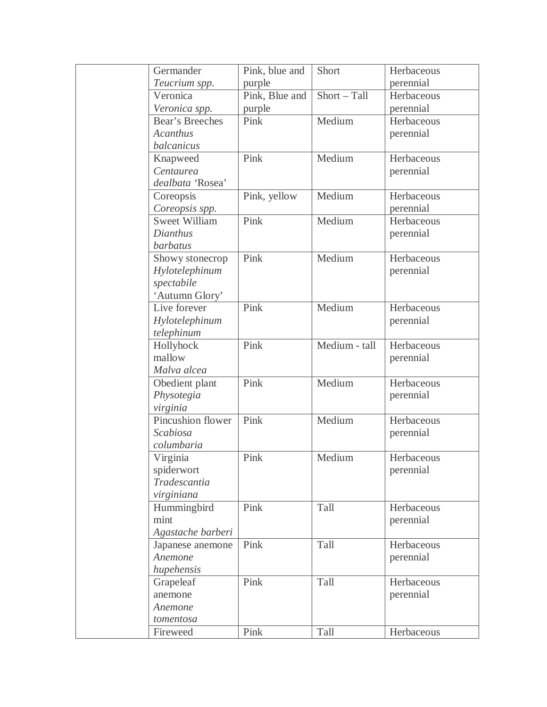| Germander            | Pink, blue and | Short         | Herbaceous |
|----------------------|----------------|---------------|------------|
| Teucrium spp.        | purple         |               | perennial  |
| Veronica             | Pink, Blue and | Short - Tall  | Herbaceous |
| Veronica spp.        | purple         |               | perennial  |
| Bear's Breeches      | Pink           | Medium        | Herbaceous |
| <b>Acanthus</b>      |                |               | perennial  |
| balcanicus           |                |               |            |
| Knapweed             | Pink           | Medium        | Herbaceous |
| Centaurea            |                |               | perennial  |
| dealbata 'Rosea'     |                |               |            |
| Coreopsis            | Pink, yellow   | Medium        | Herbaceous |
| Coreopsis spp.       |                |               | perennial  |
| <b>Sweet William</b> | Pink           | Medium        | Herbaceous |
| Dianthus             |                |               | perennial  |
| <b>barbatus</b>      |                |               |            |
| Showy stonecrop      | Pink           | Medium        | Herbaceous |
| Hylotelephinum       |                |               | perennial  |
| spectabile           |                |               |            |
| 'Autumn Glory'       |                |               |            |
| Live forever         | Pink           | Medium        | Herbaceous |
| Hylotelephinum       |                |               | perennial  |
| telephinum           |                |               |            |
| Hollyhock            | Pink           | Medium - tall | Herbaceous |
| mallow               |                |               | perennial  |
| Malva alcea          |                |               |            |
| Obedient plant       | Pink           | Medium        | Herbaceous |
| Physotegia           |                |               | perennial  |
| virginia             |                |               |            |
| Pincushion flower    | Pink           | Medium        | Herbaceous |
| Scabiosa             |                |               | perennial  |
| columbaria           |                |               |            |
| Virginia             | Pink           | Medium        | Herbaceous |
| spiderwort           |                |               | perennial  |
| Tradescantia         |                |               |            |
| virginiana           |                |               |            |
| Hummingbird          | Pink           | Tall          | Herbaceous |
| mint                 |                |               | perennial  |
| Agastache barberi    |                |               |            |
| Japanese anemone     | Pink           | Tall          | Herbaceous |
| Anemone              |                |               | perennial  |
| hupehensis           |                |               |            |
| Grapeleaf            | Pink           | Tall          | Herbaceous |
| anemone              |                |               | perennial  |
| Anemone              |                |               |            |
| tomentosa            |                |               |            |
| Fireweed             | Pink           | Tall          | Herbaceous |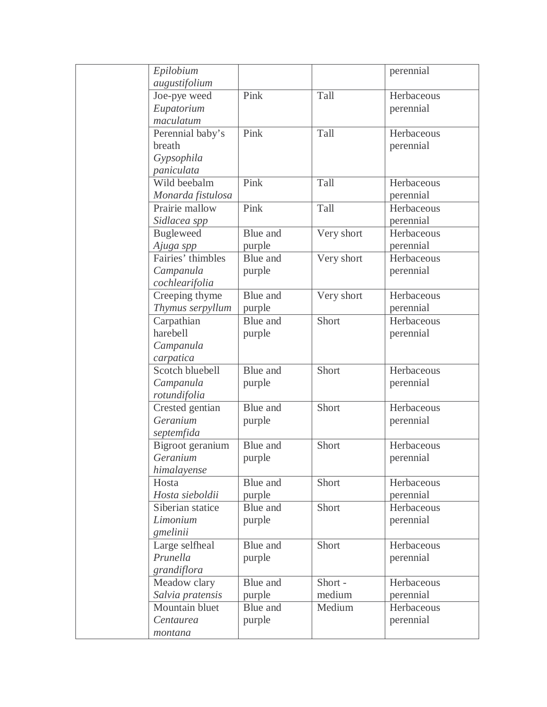| Epilobium                                                               |                  |            | perennial                           |
|-------------------------------------------------------------------------|------------------|------------|-------------------------------------|
| augustifolium                                                           |                  |            |                                     |
| Joe-pye weed                                                            | Pink             | Tall       | Herbaceous                          |
| Eupatorium                                                              |                  |            | perennial                           |
| maculatum                                                               |                  |            |                                     |
| Perennial baby's                                                        | Pink             | Tall       | Herbaceous                          |
| breath                                                                  |                  |            | perennial                           |
| Gypsophila                                                              |                  |            |                                     |
| paniculata                                                              |                  |            |                                     |
| Wild beebalm                                                            | Pink             | Tall       | Herbaceous                          |
| Monarda fistulosa                                                       |                  |            | perennial                           |
| Prairie mallow                                                          | Pink             | Tall       | Herbaceous                          |
| Sidlacea spp                                                            |                  |            | perennial                           |
| <b>Bugleweed</b>                                                        | Blue and         | Very short | Herbaceous                          |
| Ajuga spp                                                               | purple           |            | perennial                           |
| Fairies' thimbles                                                       | Blue and         | Very short | Herbaceous                          |
| Campanula                                                               | purple           |            | perennial                           |
| cochlearifolia                                                          |                  |            |                                     |
| Creeping thyme                                                          | Blue and         | Very short | Herbaceous                          |
| Thymus serpyllum                                                        | purple           |            | perennial                           |
| Carpathian                                                              | Blue and         | Short      | Herbaceous                          |
| harebell                                                                | purple           |            | perennial                           |
| Campanula                                                               |                  |            |                                     |
| carpatica                                                               |                  |            |                                     |
| Scotch bluebell                                                         | Blue and         | Short      | Herbaceous                          |
| Campanula                                                               | purple           |            | perennial                           |
| rotundifolia                                                            |                  |            |                                     |
| Crested gentian                                                         | Blue and         | Short      | Herbaceous                          |
| Geranium                                                                | purple           |            | perennial                           |
| septemfida                                                              |                  |            |                                     |
| Bigroot geranium                                                        | Blue and         | Short      | Herbaceous                          |
| Geranium                                                                | purple           |            | perennial                           |
| himalayense                                                             |                  |            |                                     |
| Hosta                                                                   | Blue and         | Short      | Herbaceous                          |
| Hosta sieboldii                                                         | purple           |            | perennial                           |
| Siberian statice                                                        | Blue and         | Short      | Herbaceous                          |
| Limonium                                                                | purple           |            | perennial                           |
| gmelinii                                                                |                  |            |                                     |
| Large selfheal                                                          | Blue and         | Short      | Herbaceous                          |
| Prunella                                                                | purple           |            |                                     |
|                                                                         |                  |            |                                     |
|                                                                         | Blue and         | Short -    | Herbaceous                          |
|                                                                         |                  | medium     |                                     |
| Mountain bluet                                                          | Blue and         | Medium     | Herbaceous                          |
|                                                                         |                  |            |                                     |
|                                                                         |                  |            |                                     |
| grandiflora<br>Meadow clary<br>Salvia pratensis<br>Centaurea<br>montana | purple<br>purple |            | perennial<br>perennial<br>perennial |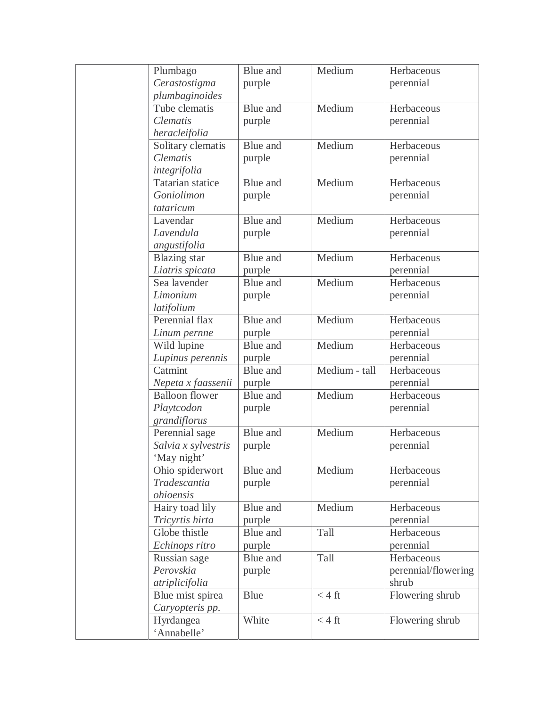| Plumbago                | Blue and | Medium           | Herbaceous          |
|-------------------------|----------|------------------|---------------------|
| Cerastostigma           | purple   |                  | perennial           |
| plumbaginoides          |          |                  |                     |
| Tube clematis           | Blue and | Medium           | Herbaceous          |
| <b>Clematis</b>         | purple   |                  | perennial           |
| heracleifolia           |          |                  |                     |
| Solitary clematis       | Blue and | Medium           | Herbaceous          |
| <b>Clematis</b>         | purple   |                  | perennial           |
| integrifolia            |          |                  |                     |
| <b>Tatarian statice</b> | Blue and | Medium           | Herbaceous          |
| Goniolimon              | purple   |                  | perennial           |
| tataricum               |          |                  |                     |
| Lavendar                | Blue and | Medium           | Herbaceous          |
| Lavendula               | purple   |                  | perennial           |
| angustifolia            |          |                  |                     |
| <b>Blazing</b> star     | Blue and | Medium           | Herbaceous          |
| Liatris spicata         | purple   |                  | perennial           |
| Sea lavender            | Blue and | Medium           | Herbaceous          |
| Limonium                | purple   |                  | perennial           |
| latifolium              |          |                  |                     |
| Perennial flax          | Blue and | Medium           | Herbaceous          |
| Linum pernne            | purple   |                  | perennial           |
| Wild lupine             | Blue and | Medium           | Herbaceous          |
| Lupinus perennis        | purple   |                  | perennial           |
| Catmint                 | Blue and | Medium - tall    | Herbaceous          |
| Nepeta x faassenii      | purple   |                  | perennial           |
| <b>Balloon</b> flower   | Blue and | Medium           | Herbaceous          |
| Playtcodon              | purple   |                  | perennial           |
| grandiflorus            |          |                  |                     |
| Perennial sage          | Blue and | Medium           | Herbaceous          |
| Salvia x sylvestris     | purple   |                  | perennial           |
| 'May night'             |          |                  |                     |
| Ohio spiderwort         | Blue and | Medium           | Herbaceous          |
| Tradescantia            | purple   |                  | perennial           |
| ohioensis               |          |                  |                     |
| Hairy toad lily         | Blue and | Medium           | Herbaceous          |
| Tricyrtis hirta         | purple   |                  | perennial           |
| Globe thistle           | Blue and | Tall             | Herbaceous          |
| Echinops ritro          | purple   |                  | perennial           |
| Russian sage            | Blue and | Tall             | Herbaceous          |
| Perovskia               | purple   |                  | perennial/flowering |
| atriplicifolia          |          |                  | shrub               |
| Blue mist spirea        | Blue     | $<$ 4 ft         | Flowering shrub     |
| Caryopteris pp.         |          |                  |                     |
| Hyrdangea               | White    | $< 4 \text{ ft}$ | Flowering shrub     |
| 'Annabelle'             |          |                  |                     |